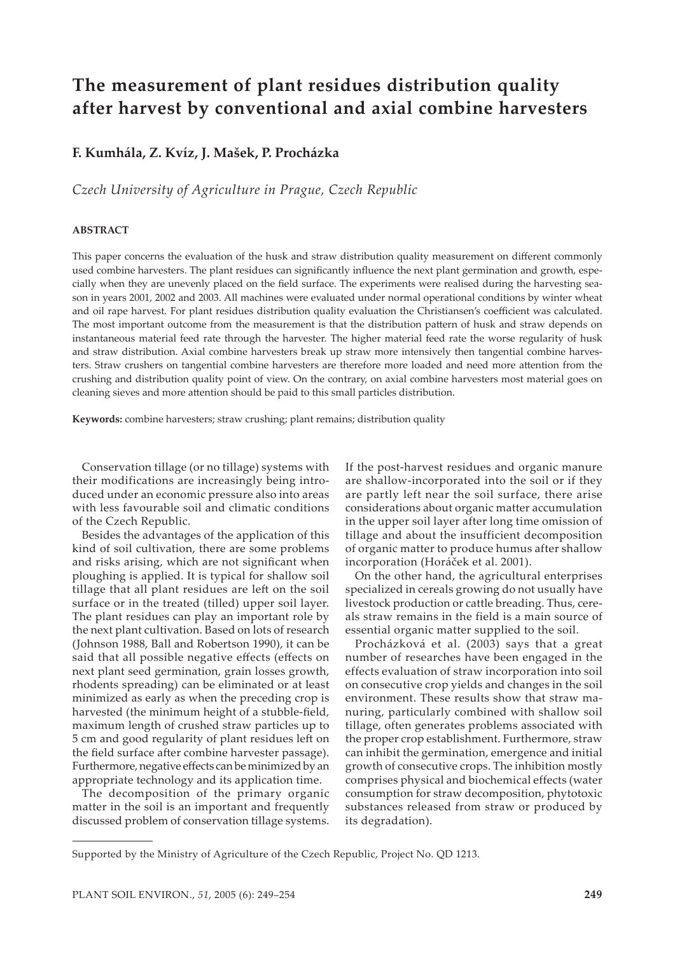# **The measurement of plant residues distribution quality after harvest by conventional and axial combine harvesters**

# **F. Kumhála, Z. Kvíz, J. Mašek, P. Procházka**

*Czech University of Agriculture in Prague, Czech Republic*

# **ABSTRACT**

This paper concerns the evaluation of the husk and straw distribution quality measurement on different commonly used combine harvesters. The plant residues can significantly influence the next plant germination and growth, especially when they are unevenly placed on the field surface. The experiments were realised during the harvesting season in years 2001, 2002 and 2003. All machines were evaluated under normal operational conditions by winter wheat and oil rape harvest. For plant residues distribution quality evaluation the Christiansen's coefficient was calculated. The most important outcome from the measurement is that the distribution pattern of husk and straw depends on instantaneous material feed rate through the harvester. The higher material feed rate the worse regularity of husk and straw distribution. Axial combine harvesters break up straw more intensively then tangential combine harvesters. Straw crushers on tangential combine harvesters are therefore more loaded and need more attention from the crushing and distribution quality point of view. On the contrary, on axial combine harvesters most material goes on cleaning sieves and more attention should be paid to this small particles distribution.

**Keywords:** combine harvesters; straw crushing; plant remains; distribution quality

Conservation tillage (or no tillage) systems with their modifications are increasingly being introduced under an economic pressure also into areas with less favourable soil and climatic conditions of the Czech Republic.

Besides the advantages of the application of this kind of soil cultivation, there are some problems and risks arising, which are not significant when ploughing is applied. It is typical for shallow soil tillage that all plant residues are left on the soil surface or in the treated (tilled) upper soil layer. The plant residues can play an important role by the next plant cultivation. Based on lots of research (Johnson 1988, Ball and Robertson 1990), it can be said that all possible negative effects (effects on next plant seed germination, grain losses growth, rhodents spreading) can be eliminated or at least minimized as early as when the preceding crop is harvested (the minimum height of a stubble-field, maximum length of crushed straw particles up to 5 cm and good regularity of plant residues left on the field surface after combine harvester passage). Furthermore, negative effects can be minimized by an appropriate technology and its application time.

The decomposition of the primary organic matter in the soil is an important and frequently discussed problem of conservation tillage systems. If the post-harvest residues and organic manure are shallow-incorporated into the soil or if they are partly left near the soil surface, there arise considerations about organic matter accumulation in the upper soil layer after long time omission of tillage and about the insufficient decomposition of organic matter to produce humus after shallow incorporation (Horáček et al. 2001).

On the other hand, the agricultural enterprises specialized in cereals growing do not usually have livestock production or cattle breading. Thus, cereals straw remains in the field is a main source of essential organic matter supplied to the soil.

Procházková et al. (2003) says that a great number of researches have been engaged in the effects evaluation of straw incorporation into soil on consecutive crop yields and changes in the soil environment. These results show that straw manuring, particularly combined with shallow soil tillage, often generates problems associated with the proper crop establishment. Furthermore, straw can inhibit the germination, emergence and initial growth of consecutive crops. The inhibition mostly comprises physical and biochemical effects (water consumption for straw decomposition, phytotoxic substances released from straw or produced by its degradation).

Supported by the Ministry of Agriculture of the Czech Republic, Project No. QD 1213.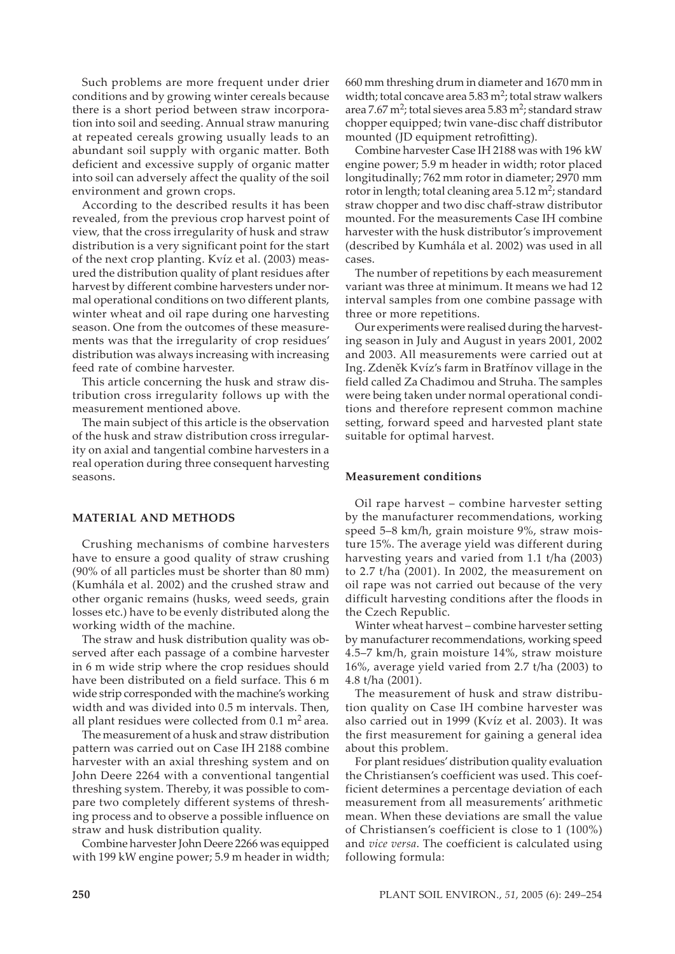Such problems are more frequent under drier conditions and by growing winter cereals because there is a short period between straw incorporation into soil and seeding. Annual straw manuring at repeated cereals growing usually leads to an abundant soil supply with organic matter. Both deficient and excessive supply of organic matter into soil can adversely affect the quality of the soil environment and grown crops.

According to the described results it has been revealed, from the previous crop harvest point of view, that the cross irregularity of husk and straw distribution is a very significant point for the start of the next crop planting. Kvíz et al. (2003) measured the distribution quality of plant residues after harvest by different combine harvesters under normal operational conditions on two different plants, winter wheat and oil rape during one harvesting season. One from the outcomes of these measurements was that the irregularity of crop residues' distribution was always increasing with increasing feed rate of combine harvester.

This article concerning the husk and straw distribution cross irregularity follows up with the measurement mentioned above.

The main subject of this article is the observation of the husk and straw distribution cross irregularity on axial and tangential combine harvesters in a real operation during three consequent harvesting seasons.

#### **MATERIAL AND METHODS**

Crushing mechanisms of combine harvesters have to ensure a good quality of straw crushing (90% of all particles must be shorter than 80 mm) (Kumhála et al. 2002) and the crushed straw and other organic remains (husks, weed seeds, grain losses etc.) have to be evenly distributed along the working width of the machine.

The straw and husk distribution quality was observed after each passage of a combine harvester in 6 m wide strip where the crop residues should have been distributed on a field surface. This 6 m wide strip corresponded with the machine's working width and was divided into 0.5 m intervals. Then, all plant residues were collected from  $0.1 \text{ m}^2$  area.

The measurement of a husk and straw distribution pattern was carried out on Case IH 2188 combine harvester with an axial threshing system and on John Deere 2264 with a conventional tangential threshing system. Thereby, it was possible to compare two completely different systems of threshing process and to observe a possible influence on straw and husk distribution quality.

Combine harvester John Deere 2266 was equipped with 199 kW engine power; 5.9 m header in width;

660 mm threshing drum in diameter and 1670 mm in width; total concave area  $5.83 \text{ m}^2$ ; total straw walkers area 7.67 m<sup>2</sup>; total sieves area 5.83 m<sup>2</sup>; standard straw chopper equipped; twin vane-disc chaff distributor mounted (JD equipment retrofitting).

Combine harvester Case IH 2188 was with 196 kW engine power; 5.9 m header in width; rotor placed longitudinally; 762 mm rotor in diameter; 2970 mm rotor in length; total cleaning area 5.12 m<sup>2</sup>; standard straw chopper and two disc chaff-straw distributor mounted. For the measurements Case IH combine harvester with the husk distributor's improvement (described by Kumhála et al. 2002) was used in all cases.

The number of repetitions by each measurement variant was three at minimum. It means we had 12 interval samples from one combine passage with three or more repetitions.

Our experiments were realised during the harvesting season in July and August in years 2001, 2002 and 2003. All measurements were carried out at Ing. Zdeněk Kvíz's farm in Bratřínov village in the field called Za Chadimou and Struha. The samples were being taken under normal operational conditions and therefore represent common machine setting, forward speed and harvested plant state suitable for optimal harvest.

## **Measurement conditions**

Oil rape harvest – combine harvester setting by the manufacturer recommendations, working speed 5–8 km/h, grain moisture 9%, straw moisture 15%. The average yield was different during harvesting years and varied from 1.1 t/ha (2003) to 2.7 t/ha (2001). In 2002, the measurement on oil rape was not carried out because of the very difficult harvesting conditions after the floods in the Czech Republic.

Winter wheat harvest – combine harvester setting by manufacturer recommendations, working speed 4.5–7 km/h, grain moisture 14%, straw moisture 16%, average yield varied from 2.7 t/ha (2003) to 4.8 t/ha (2001).

The measurement of husk and straw distribution quality on Case IH combine harvester was also carried out in 1999 (Kvíz et al. 2003). It was the first measurement for gaining a general idea about this problem.

For plant residues' distribution quality evaluation the Christiansen's coefficient was used. This coefficient determines a percentage deviation of each measurement from all measurements' arithmetic mean. When these deviations are small the value of Christiansen's coefficient is close to 1 (100%) and *vice versa*. The coefficient is calculated using following formula: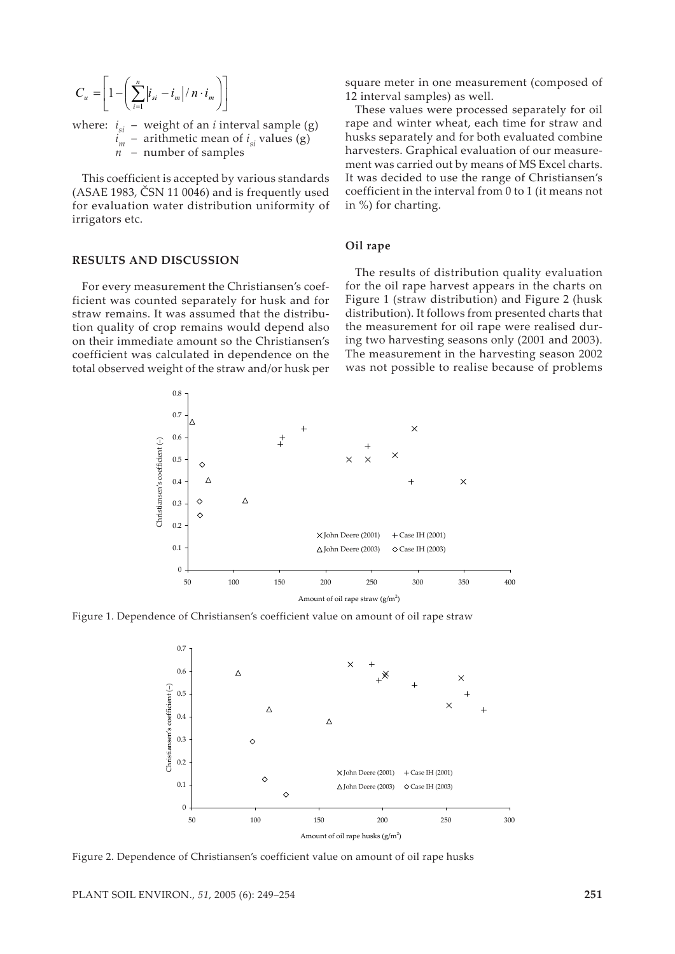$$
C_u = \left[1 - \left(\sum_{i=1}^n |i_{si} - i_m|/n \cdot i_m\right)\right]
$$

where:  $i_{si}$  – weight of an *i* interval sample (g)  $i_m$  – arithmetic mean of  $i_{si}$  values (g) *n* – number of samples

This coefficient is accepted by various standards (ASAE 1983, ČSN 11 0046) and is frequently used for evaluation water distribution uniformity of irrigators etc.

## **RESULTS AND DISCUSSION**

For every measurement the Christiansen's coefficient was counted separately for husk and for straw remains. It was assumed that the distribution quality of crop remains would depend also on their immediate amount so the Christiansen's coefficient was calculated in dependence on the total observed weight of the straw and/or husk per square meter in one measurement (composed of 12 interval samples) as well.

These values were processed separately for oil rape and winter wheat, each time for straw and husks separately and for both evaluated combine harvesters. Graphical evaluation of our measurement was carried out by means of MS Excel charts. It was decided to use the range of Christiansen's coefficient in the interval from 0 to 1 (it means not in %) for charting.

# **Oil rape**

The results of distribution quality evaluation for the oil rape harvest appears in the charts on Figure 1 (straw distribution) and Figure 2 (husk distribution). It follows from presented charts that the measurement for oil rape were realised during two harvesting seasons only (2001 and 2003). The measurement in the harvesting season 2002 was not possible to realise because of problems



Figure 1. Dependence of Christiansen's coefficient value on amount of oil rape straw



Figure 2. Dependence of Christiansen's coefficient value on amount of oil rape husks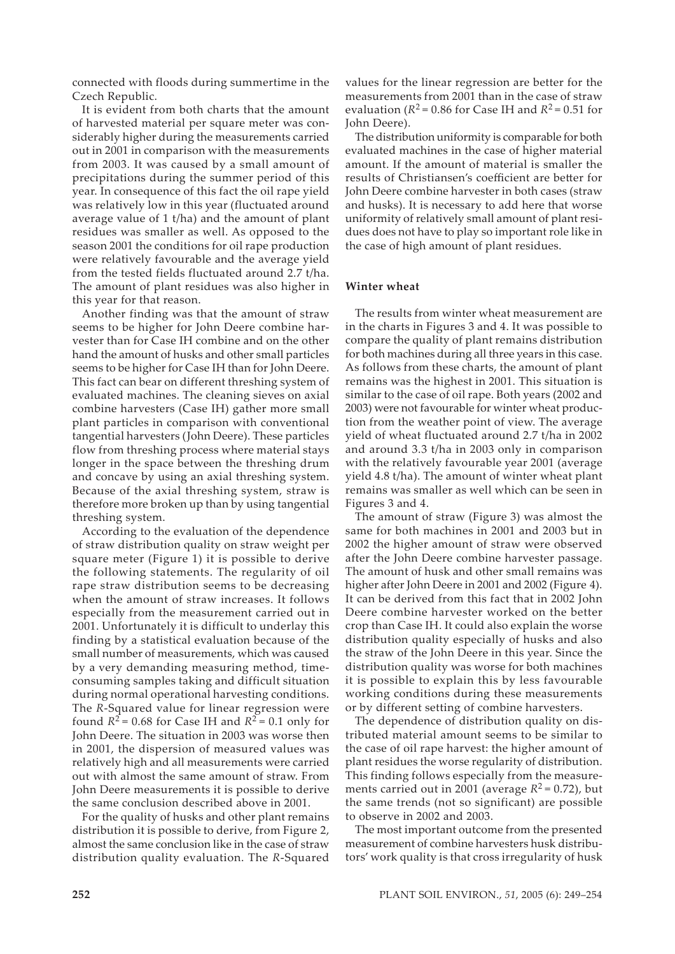connected with floods during summertime in the Czech Republic.

It is evident from both charts that the amount of harvested material per square meter was considerably higher during the measurements carried out in 2001 in comparison with the measurements from 2003. It was caused by a small amount of precipitations during the summer period of this year. In consequence of this fact the oil rape yield was relatively low in this year (fluctuated around average value of 1 t/ha) and the amount of plant residues was smaller as well. As opposed to the season 2001 the conditions for oil rape production were relatively favourable and the average yield from the tested fields fluctuated around 2.7 t/ha. The amount of plant residues was also higher in this year for that reason.

Another finding was that the amount of straw seems to be higher for John Deere combine harvester than for Case IH combine and on the other hand the amount of husks and other small particles seems to be higher for Case IH than for John Deere. This fact can bear on different threshing system of evaluated machines. The cleaning sieves on axial combine harvesters (Case IH) gather more small plant particles in comparison with conventional tangential harvesters (John Deere). These particles flow from threshing process where material stays longer in the space between the threshing drum and concave by using an axial threshing system. Because of the axial threshing system, straw is therefore more broken up than by using tangential threshing system.

According to the evaluation of the dependence of straw distribution quality on straw weight per square meter (Figure 1) it is possible to derive the following statements. The regularity of oil rape straw distribution seems to be decreasing when the amount of straw increases. It follows especially from the measurement carried out in 2001. Unfortunately it is difficult to underlay this finding by a statistical evaluation because of the small number of measurements, which was caused by a very demanding measuring method, timeconsuming samples taking and difficult situation during normal operational harvesting conditions. The *R*-Squared value for linear regression were found  $R^2$  = 0.68 for Case IH and  $R^2$  = 0.1 only for John Deere. The situation in 2003 was worse then in 2001, the dispersion of measured values was relatively high and all measurements were carried out with almost the same amount of straw. From John Deere measurements it is possible to derive the same conclusion described above in 2001.

For the quality of husks and other plant remains distribution it is possible to derive, from Figure 2, almost the same conclusion like in the case of straw distribution quality evaluation. The *R*-Squared

values for the linear regression are better for the measurements from 2001 than in the case of straw evaluation ( $R^2$  = 0.86 for Case IH and  $R^2$  = 0.51 for John Deere).

The distribution uniformity is comparable for both evaluated machines in the case of higher material amount. If the amount of material is smaller the results of Christiansen's coefficient are better for John Deere combine harvester in both cases (straw and husks). It is necessary to add here that worse uniformity of relatively small amount of plant residues does not have to play so important role like in the case of high amount of plant residues.

#### **Winter wheat**

The results from winter wheat measurement are in the charts in Figures 3 and 4. It was possible to compare the quality of plant remains distribution for both machines during all three years in this case. As follows from these charts, the amount of plant remains was the highest in 2001. This situation is similar to the case of oil rape. Both years (2002 and 2003) were not favourable for winter wheat production from the weather point of view. The average yield of wheat fluctuated around 2.7 t/ha in 2002 and around 3.3 t/ha in 2003 only in comparison with the relatively favourable year 2001 (average yield 4.8 t/ha). The amount of winter wheat plant remains was smaller as well which can be seen in Figures 3 and 4.

The amount of straw (Figure 3) was almost the same for both machines in 2001 and 2003 but in 2002 the higher amount of straw were observed after the John Deere combine harvester passage. The amount of husk and other small remains was higher after John Deere in 2001 and 2002 (Figure 4). It can be derived from this fact that in 2002 John Deere combine harvester worked on the better crop than Case IH. It could also explain the worse distribution quality especially of husks and also the straw of the John Deere in this year. Since the distribution quality was worse for both machines it is possible to explain this by less favourable working conditions during these measurements or by different setting of combine harvesters.

The dependence of distribution quality on distributed material amount seems to be similar to the case of oil rape harvest: the higher amount of plant residues the worse regularity of distribution. This finding follows especially from the measurements carried out in 2001 (average  $R^2$  = 0.72), but the same trends (not so significant) are possible to observe in 2002 and 2003.

The most important outcome from the presented measurement of combine harvesters husk distributors' work quality is that cross irregularity of husk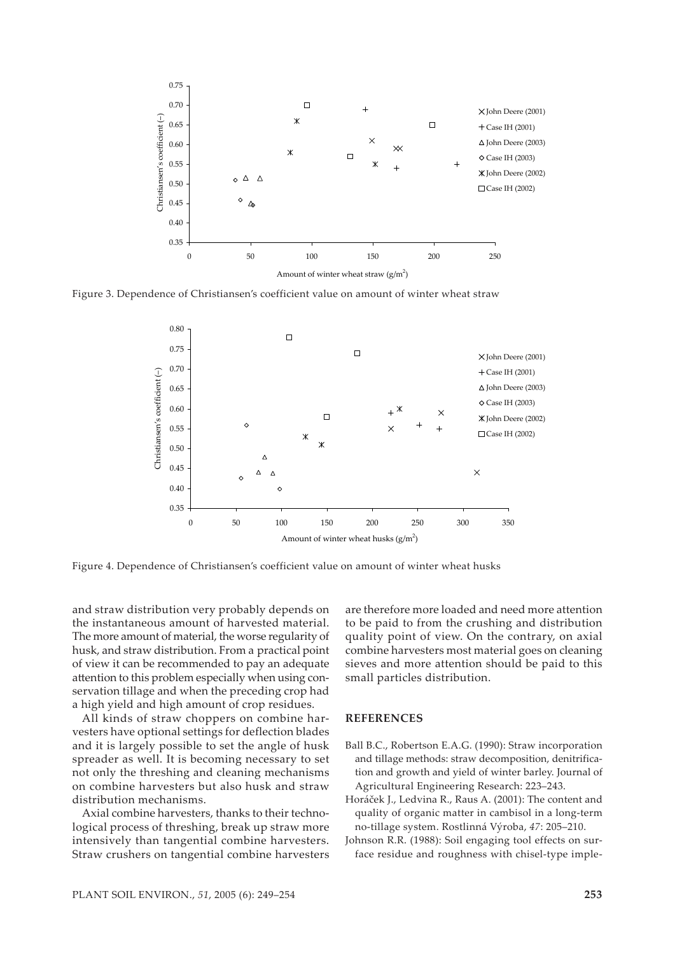

Figure 3. Dependence of Christiansen's coefficient value on amount of winter wheat straw 0 50 100 150 200 250 300 350



Figure 4. Dependence of Christiansen's coefficient value on amount of winter wheat husks

and straw distribution very probably depends on the instantaneous amount of harvested material. The more amount of material, the worse regularity of husk, and straw distribution. From a practical point of view it can be recommended to pay an adequate attention to this problem especially when using conservation tillage and when the preceding crop had a high yield and high amount of crop residues.

All kinds of straw choppers on combine harvesters have optional settings for deflection blades and it is largely possible to set the angle of husk spreader as well. It is becoming necessary to set not only the threshing and cleaning mechanisms on combine harvesters but also husk and straw distribution mechanisms.

Axial combine harvesters, thanks to their technological process of threshing, break up straw more intensively than tangential combine harvesters. Straw crushers on tangential combine harvesters

are therefore more loaded and need more attention to be paid to from the crushing and distribution quality point of view. On the contrary, on axial combine harvesters most material goes on cleaning sieves and more attention should be paid to this small particles distribution.

#### **REFERENCES**

- Ball B.C., Robertson E.A.G. (1990): Straw incorporation and tillage methods: straw decomposition, denitrification and growth and yield of winter barley. Journal of Agricultural Engineering Research: 223–243.
- Horáček J., Ledvina R., Raus A. (2001): The content and quality of organic matter in cambisol in a long-term no-tillage system. Rostlinná Výroba, *47*: 205–210.
- Johnson R.R. (1988): Soil engaging tool effects on surface residue and roughness with chisel-type imple-